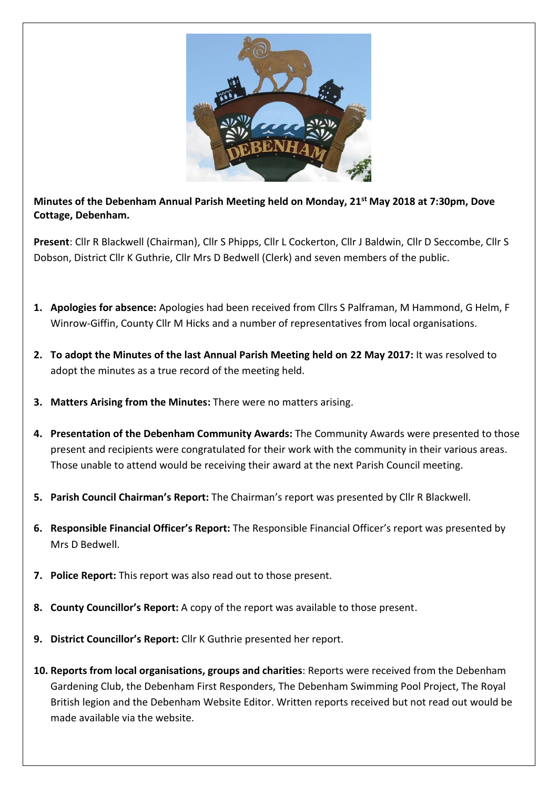

**Minutes of the Debenham Annual Parish Meeting held on Monday, 21st May 2018 at 7:30pm, Dove Cottage, Debenham.**

**Present**: Cllr R Blackwell (Chairman), Cllr S Phipps, Cllr L Cockerton, Cllr J Baldwin, Cllr D Seccombe, Cllr S Dobson, District Cllr K Guthrie, Cllr Mrs D Bedwell (Clerk) and seven members of the public.

- **1. Apologies for absence:** Apologies had been received from Cllrs S Palframan, M Hammond, G Helm, F Winrow-Giffin, County Cllr M Hicks and a number of representatives from local organisations.
- **2. To adopt the Minutes of the last Annual Parish Meeting held on 22 May 2017:** It was resolved to adopt the minutes as a true record of the meeting held.
- **3. Matters Arising from the Minutes:** There were no matters arising.
- **4. Presentation of the Debenham Community Awards:** The Community Awards were presented to those present and recipients were congratulated for their work with the community in their various areas. Those unable to attend would be receiving their award at the next Parish Council meeting.
- **5. Parish Council Chairman's Report:** The Chairman's report was presented by Cllr R Blackwell.
- **6. Responsible Financial Officer's Report:** The Responsible Financial Officer's report was presented by Mrs D Bedwell.
- **7. Police Report:** This report was also read out to those present.
- **8. County Councillor's Report:** A copy of the report was available to those present.
- **9. District Councillor's Report:** Cllr K Guthrie presented her report.
- **10. Reports from local organisations, groups and charities**: Reports were received from the Debenham Gardening Club, the Debenham First Responders, The Debenham Swimming Pool Project, The Royal British legion and the Debenham Website Editor. Written reports received but not read out would be made available via the website.